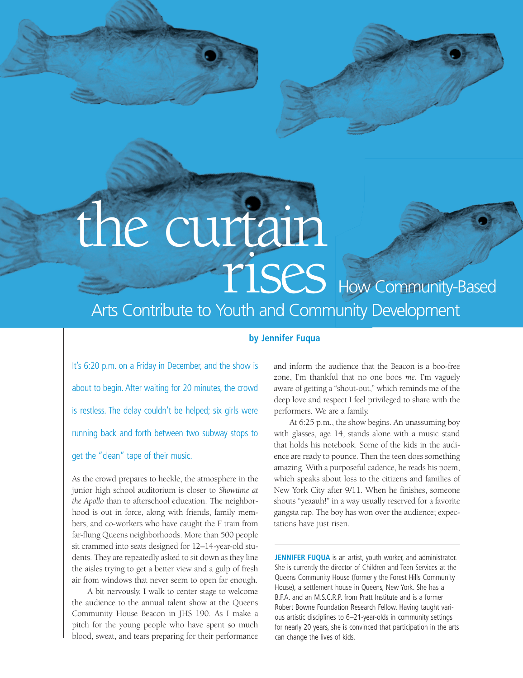# the curtain TISES How Community-Based

# Arts Contribute to Youth and Community Development

## **by Jennifer Fuqua**

It's 6:20 p.m. on a Friday in December, and the show is about to begin. After waiting for 20 minutes, the crowd is restless. The delay couldn't be helped; six girls were running back and forth between two subway stops to get the "clean" tape of their music.

As the crowd prepares to heckle, the atmosphere in the junior high school auditorium is closer to *Showtime at the Apollo* than to afterschool education. The neighborhood is out in force, along with friends, family members, and co-workers who have caught the F train from far-flung Queens neighborhoods. More than 500 people sit crammed into seats designed for 12–14-year-old students. They are repeatedly asked to sit down as they line the aisles trying to get a better view and a gulp of fresh air from windows that never seem to open far enough.

A bit nervously, I walk to center stage to welcome the audience to the annual talent show at the Queens Community House Beacon in JHS 190. As I make a pitch for the young people who have spent so much blood, sweat, and tears preparing for their performance and inform the audience that the Beacon is a boo-free zone, I'm thankful that no one boos *me*. I'm vaguely aware of getting a "shout-out," which reminds me of the deep love and respect I feel privileged to share with the performers. We are a family.

At 6:25 p.m., the show begins. An unassuming boy with glasses, age 14, stands alone with a music stand that holds his notebook. Some of the kids in the audience are ready to pounce. Then the teen does something amazing. With a purposeful cadence, he reads his poem, which speaks about loss to the citizens and families of New York City after 9/11. When he finishes, someone shouts "yeaauh!" in a way usually reserved for a favorite gangsta rap. The boy has won over the audience; expectations have just risen.

**JENNIFER FUQUA** is an artist, youth worker, and administrator. She is currently the director of Children and Teen Services at the Queens Community House (formerly the Forest Hills Community House), a settlement house in Queens, New York. She has a B.F.A. and an M.S.C.R.P. from Pratt Institute and is a former Robert Bowne Foundation Research Fellow. Having taught various artistic disciplines to 6–21-year-olds in community settings for nearly 20 years, she is convinced that participation in the arts can change the lives of kids.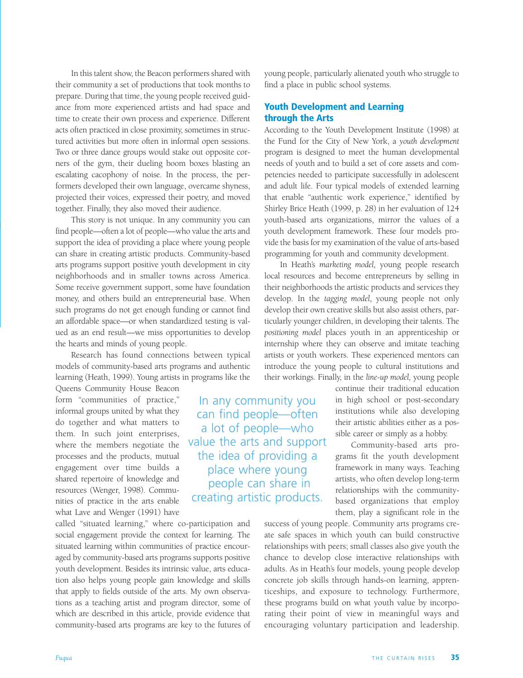In this talent show, the Beacon performers shared with their community a set of productions that took months to prepare. During that time, the young people received guidance from more experienced artists and had space and time to create their own process and experience. Different acts often practiced in close proximity, sometimes in structured activities but more often in informal open sessions. Two or three dance groups would stake out opposite corners of the gym, their dueling boom boxes blasting an escalating cacophony of noise. In the process, the performers developed their own language, overcame shyness, projected their voices, expressed their poetry, and moved together. Finally, they also moved their audience.

This story is not unique. In any community you can find people—often a lot of people—who value the arts and support the idea of providing a place where young people can share in creating artistic products. Community-based arts programs support positive youth development in city neighborhoods and in smaller towns across America. Some receive government support, some have foundation money, and others build an entrepreneurial base. When such programs do not get enough funding or cannot find an affordable space—or when standardized testing is valued as an end result—we miss opportunities to develop the hearts and minds of young people.

Research has found connections between typical models of community-based arts programs and authentic learning (Heath, 1999). Young artists in programs like the

Queens Community House Beacon form "communities of practice," informal groups united by what they do together and what matters to them. In such joint enterprises, where the members negotiate the processes and the products, mutual engagement over time builds a shared repertoire of knowledge and resources (Wenger, 1998). Communities of practice in the arts enable what Lave and Wenger (1991) have

called "situated learning," where co-participation and social engagement provide the context for learning. The situated learning within communities of practice encouraged by community-based arts programs supports positive youth development. Besides its intrinsic value, arts education also helps young people gain knowledge and skills that apply to fields outside of the arts. My own observations as a teaching artist and program director, some of which are described in this article, provide evidence that community-based arts programs are key to the futures of

young people, particularly alienated youth who struggle to find a place in public school systems.

#### **Youth Development and Learning through the Arts**

According to the Youth Development Institute (1998) at the Fund for the City of New York, a *youth development* program is designed to meet the human developmental needs of youth and to build a set of core assets and competencies needed to participate successfully in adolescent and adult life. Four typical models of extended learning that enable "authentic work experience," identified by Shirley Brice Heath (1999, p. 28) in her evaluation of 124 youth-based arts organizations, mirror the values of a youth development framework. These four models provide the basis for my examination of the value of arts-based programming for youth and community development.

In Heath's *marketing model,* young people research local resources and become entrepreneurs by selling in their neighborhoods the artistic products and services they develop. In the *tagging model,* young people not only develop their own creative skills but also assist others, particularly younger children, in developing their talents. The *positioning model* places youth in an apprenticeship or internship where they can observe and imitate teaching artists or youth workers. These experienced mentors can introduce the young people to cultural institutions and their workings. Finally, in the *line-up model,* young people

> continue their traditional education in high school or post-secondary institutions while also developing their artistic abilities either as a possible career or simply as a hobby.

> Community-based arts programs fit the youth development framework in many ways. Teaching artists, who often develop long-term relationships with the communitybased organizations that employ them, play a significant role in the

success of young people. Community arts programs create safe spaces in which youth can build constructive relationships with peers; small classes also give youth the chance to develop close interactive relationships with adults. As in Heath's four models, young people develop concrete job skills through hands-on learning, apprenticeships, and exposure to technology. Furthermore, these programs build on what youth value by incorporating their point of view in meaningful ways and encouraging voluntary participation and leadership.

In any community you can find people—often a lot of people—who value the arts and support the idea of providing a place where young people can share in creating artistic products.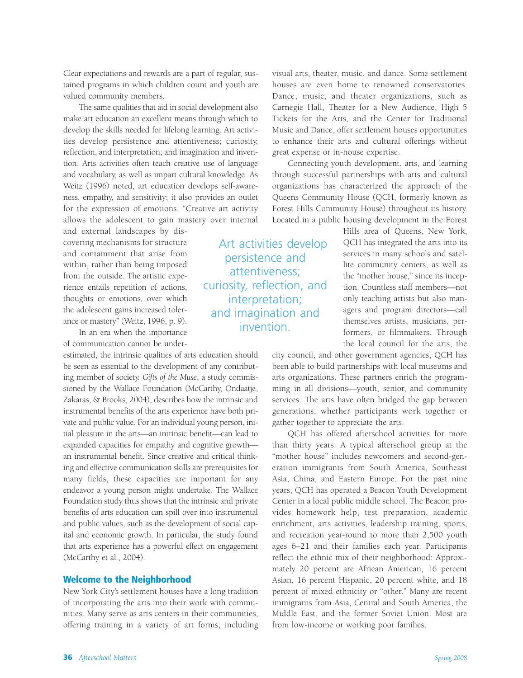Clear expectations and rewards are a part of regular, sustained programs in which children count and youth are valued community members.

The same qualities that aid in social development also make art education an excellent means through which to develop the skills needed for lifelong learning. Art activities develop persistence and attentiveness; curiosity, reflection, and interpretation; and imagination and invention. Arts activities often teach creative use of language and vocabulary, as well as impart cultural knowledge. As Weitz (1996) noted, art education develops self-awareness, empathy, and sensitivity; it also provides an outlet for the expression of emotions. "Creative art activity allows the adolescent to gain mastery over internal

and external landscapes by discovering mechanisms for structure and containment that arise from within, rather than being imposed from the outside. The artistic experience entails repetition of actions, thoughts or emotions, over which the adolescent gains increased tolerance or mastery" (Weitz, 1996, p. 9).

In an era when the importance of communication cannot be under-

estimated, the intrinsic qualities of arts education should be seen as essential to the development of any contributing member of society. *Gifts of the Muse*, a study commissioned by the Wallace Foundation (McCarthy, Ondaatje, Zakaras, & Brooks, 2004), describes how the intrinsic and instrumental benefits of the arts experience have both private and public value. For an individual young person, initial pleasure in the arts—an intrinsic benefit—can lead to expanded capacities for empathy and cognitive growth an instrumental benefit. Since creative and critical thinking and effective communication skills are prerequisites for many fields, these capacities are important for any endeavor a young person might undertake. The Wallace Foundation study thus shows that the intrinsic and private benefits of arts education can spill over into instrumental and public values, such as the development of social capital and economic growth. In particular, the study found that arts experience has a powerful effect on engagement (McCarthy et al., 2004).

#### **Welcome to the Neighborhood**

New York City's settlement houses have a long tradition of incorporating the arts into their work with communities. Many serve as arts centers in their communities, offering training in a variety of art forms, including visual arts, theater, music, and dance. Some settlement houses are even home to renowned conservatories. Dance, music, and theater organizations, such as Carnegie Hall, Theater for a New Audience, High 5 Tickets for the Arts, and the Center for Traditional Music and Dance, offer settlement houses opportunities to enhance their arts and cultural offerings without great expense or in-house expertise.

Connecting youth development, arts, and learning through successful partnerships with arts and cultural organizations has characterized the approach of the Queens Community House (QCH, formerly known as Forest Hills Community House) throughout its history. Located in a public housing development in the Forest

> Hills area of Queens, New York, QCH has integrated the arts into its services in many schools and satellite community centers, as well as the "mother house," since its inception. Countless staff members—not only teaching artists but also managers and program directors—call themselves artists, musicians, performers, or filmmakers. Through the local council for the arts, the

city council, and other government agencies, QCH has been able to build partnerships with local museums and arts organizations. These partners enrich the programming in all divisions—youth, senior, and community services. The arts have often bridged the gap between generations, whether participants work together or gather together to appreciate the arts.

QCH has offered afterschool activities for more than thirty years. A typical afterschool group at the "mother house" includes newcomers and second-generation immigrants from South America, Southeast Asia, China, and Eastern Europe. For the past nine years, QCH has operated a Beacon Youth Development Center in a local public middle school. The Beacon provides homework help, test preparation, academic enrichment, arts activities, leadership training, sports, and recreation year-round to more than 2,500 youth ages 6–21 and their families each year. Participants reflect the ethnic mix of their neighborhood: Approximately 20 percent are African American, 16 percent Asian, 16 percent Hispanic, 20 percent white, and 18 percent of mixed ethnicity or "other." Many are recent immigrants from Asia, Central and South America, the Middle East, and the former Soviet Union. Most are from low-income or working poor families.

Art activities develop persistence and attentiveness; curiosity, reflection, and interpretation; and imagination and invention.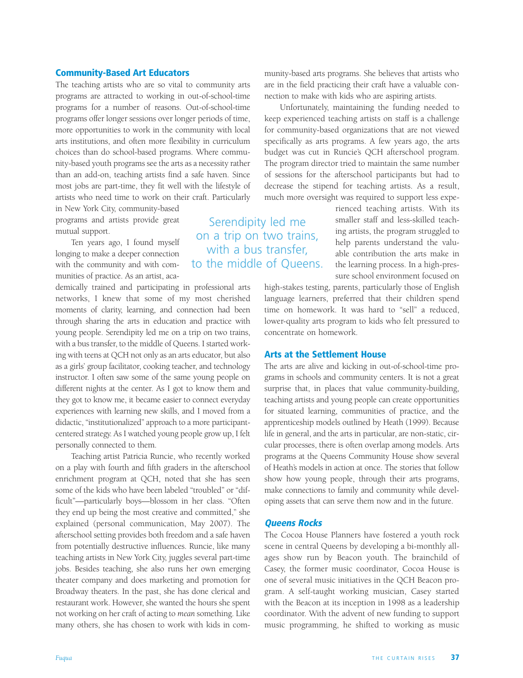#### **Community-Based Art Educators**

The teaching artists who are so vital to community arts programs are attracted to working in out-of-school-time programs for a number of reasons. Out-of-school-time programs offer longer sessions over longer periods of time, more opportunities to work in the community with local arts institutions, and often more flexibility in curriculum choices than do school-based programs. Where community-based youth programs see the arts as a necessity rather than an add-on, teaching artists find a safe haven. Since most jobs are part-time, they fit well with the lifestyle of artists who need time to work on their craft. Particularly

in New York City, community-based programs and artists provide great mutual support.

Ten years ago, I found myself longing to make a deeper connection with the community and with communities of practice. As an artist, aca-

demically trained and participating in professional arts networks, I knew that some of my most cherished moments of clarity, learning, and connection had been through sharing the arts in education and practice with young people. Serendipity led me on a trip on two trains, with a bus transfer, to the middle of Queens. I started working with teens at QCH not only as an arts educator, but also as a girls' group facilitator, cooking teacher, and technology instructor. I often saw some of the same young people on different nights at the center. As I got to know them and they got to know me, it became easier to connect everyday experiences with learning new skills, and I moved from a didactic, "institutionalized" approach to a more participantcentered strategy. As I watched young people grow up, I felt personally connected to them.

Teaching artist Patricia Runcie, who recently worked on a play with fourth and fifth graders in the afterschool enrichment program at QCH, noted that she has seen some of the kids who have been labeled "troubled" or "difficult"—particularly boys—blossom in her class. "Often they end up being the most creative and committed," she explained (personal communication, May 2007). The afterschool setting provides both freedom and a safe haven from potentially destructive influences. Runcie, like many teaching artists in New York City, juggles several part-time jobs. Besides teaching, she also runs her own emerging theater company and does marketing and promotion for Broadway theaters. In the past, she has done clerical and restaurant work. However, she wanted the hours she spent not working on her craft of acting to *mean* something. Like many others, she has chosen to work with kids in community-based arts programs. She believes that artists who are in the field practicing their craft have a valuable connection to make with kids who are aspiring artists.

Unfortunately, maintaining the funding needed to keep experienced teaching artists on staff is a challenge for community-based organizations that are not viewed specifically as arts programs. A few years ago, the arts budget was cut in Runcie's QCH afterschool program. The program director tried to maintain the same number of sessions for the afterschool participants but had to decrease the stipend for teaching artists. As a result, much more oversight was required to support less expe-

> rienced teaching artists. With its smaller staff and less-skilled teaching artists, the program struggled to help parents understand the valuable contribution the arts make in the learning process. In a high-pressure school environment focused on

high-stakes testing, parents, particularly those of English language learners, preferred that their children spend time on homework. It was hard to "sell" a reduced, lower-quality arts program to kids who felt pressured to concentrate on homework.

#### **Arts at the Settlement House**

Serendipity led me on a trip on two trains, with a bus transfer, to the middle of Queens.

> The arts are alive and kicking in out-of-school-time programs in schools and community centers. It is not a great surprise that, in places that value community-building, teaching artists and young people can create opportunities for situated learning, communities of practice, and the apprenticeship models outlined by Heath (1999). Because life in general, and the arts in particular, are non-static, circular processes, there is often overlap among models. Arts programs at the Queens Community House show several of Heath's models in action at once. The stories that follow show how young people, through their arts programs, make connections to family and community while developing assets that can serve them now and in the future.

#### **Queens Rocks**

The Cocoa House Planners have fostered a youth rock scene in central Queens by developing a bi-monthly allages show run by Beacon youth. The brainchild of Casey, the former music coordinator, Cocoa House is one of several music initiatives in the QCH Beacon program. A self-taught working musician, Casey started with the Beacon at its inception in 1998 as a leadership coordinator. With the advent of new funding to support music programming, he shifted to working as music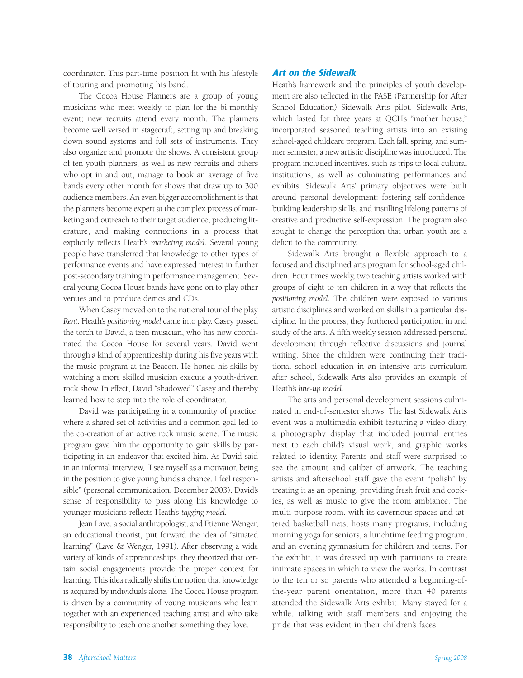coordinator. This part-time position fit with his lifestyle of touring and promoting his band.

The Cocoa House Planners are a group of young musicians who meet weekly to plan for the bi-monthly event; new recruits attend every month. The planners become well versed in stagecraft, setting up and breaking down sound systems and full sets of instruments. They also organize and promote the shows. A consistent group of ten youth planners, as well as new recruits and others who opt in and out, manage to book an average of five bands every other month for shows that draw up to 300 audience members. An even bigger accomplishment is that the planners become expert at the complex process of marketing and outreach to their target audience, producing literature, and making connections in a process that explicitly reflects Heath's *marketing model.* Several young people have transferred that knowledge to other types of performance events and have expressed interest in further post-secondary training in performance management. Several young Cocoa House bands have gone on to play other venues and to produce demos and CDs.

When Casey moved on to the national tour of the play *Rent*, Heath's *positioning model* came into play. Casey passed the torch to David, a teen musician, who has now coordinated the Cocoa House for several years. David went through a kind of apprenticeship during his five years with the music program at the Beacon. He honed his skills by watching a more skilled musician execute a youth-driven rock show. In effect, David "shadowed" Casey and thereby learned how to step into the role of coordinator.

David was participating in a community of practice, where a shared set of activities and a common goal led to the co-creation of an active rock music scene. The music program gave him the opportunity to gain skills by participating in an endeavor that excited him. As David said in an informal interview, "I see myself as a motivator, being in the position to give young bands a chance. I feel responsible" (personal communication, December 2003). David's sense of responsibility to pass along his knowledge to younger musicians reflects Heath's *tagging model.*

Jean Lave, a social anthropologist, and Etienne Wenger, an educational theorist, put forward the idea of "situated learning" (Lave & Wenger, 1991). After observing a wide variety of kinds of apprenticeships, they theorized that certain social engagements provide the proper context for learning. This idea radically shifts the notion that knowledge is acquired by individuals alone. The Cocoa House program is driven by a community of young musicians who learn together with an experienced teaching artist and who take responsibility to teach one another something they love.

#### **Art on the Sidewalk**

Heath's framework and the principles of youth development are also reflected in the PASE (Partnership for After School Education) Sidewalk Arts pilot. Sidewalk Arts, which lasted for three years at QCH's "mother house," incorporated seasoned teaching artists into an existing school-aged childcare program. Each fall, spring, and summer semester, a new artistic discipline was introduced. The program included incentives, such as trips to local cultural institutions, as well as culminating performances and exhibits. Sidewalk Arts' primary objectives were built around personal development: fostering self-confidence, building leadership skills, and instilling lifelong patterns of creative and productive self-expression. The program also sought to change the perception that urban youth are a deficit to the community.

Sidewalk Arts brought a flexible approach to a focused and disciplined arts program for school-aged children. Four times weekly, two teaching artists worked with groups of eight to ten children in a way that reflects the *positioning model.* The children were exposed to various artistic disciplines and worked on skills in a particular discipline. In the process, they furthered participation in and study of the arts. A fifth weekly session addressed personal development through reflective discussions and journal writing. Since the children were continuing their traditional school education in an intensive arts curriculum after school, Sidewalk Arts also provides an example of Heath's *line-up model.*

The arts and personal development sessions culminated in end-of-semester shows. The last Sidewalk Arts event was a multimedia exhibit featuring a video diary, a photography display that included journal entries next to each child's visual work, and graphic works related to identity. Parents and staff were surprised to see the amount and caliber of artwork. The teaching artists and afterschool staff gave the event "polish" by treating it as an opening, providing fresh fruit and cookies, as well as music to give the room ambiance. The multi-purpose room, with its cavernous spaces and tattered basketball nets, hosts many programs, including morning yoga for seniors, a lunchtime feeding program, and an evening gymnasium for children and teens. For the exhibit, it was dressed up with partitions to create intimate spaces in which to view the works. In contrast to the ten or so parents who attended a beginning-ofthe-year parent orientation, more than 40 parents attended the Sidewalk Arts exhibit. Many stayed for a while, talking with staff members and enjoying the pride that was evident in their children's faces.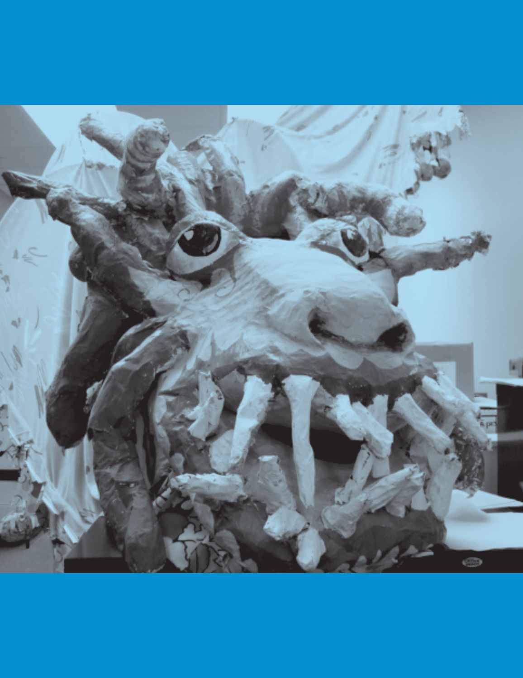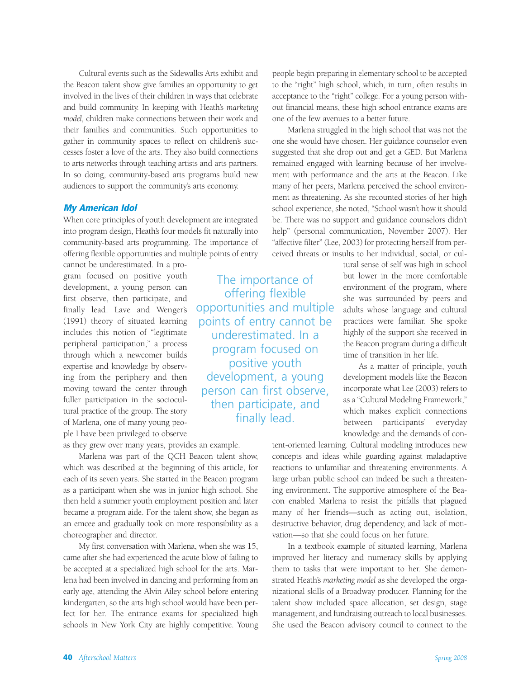Cultural events such as the Sidewalks Arts exhibit and the Beacon talent show give families an opportunity to get involved in the lives of their children in ways that celebrate and build community. In keeping with Heath's *marketing model,* children make connections between their work and their families and communities. Such opportunities to gather in community spaces to reflect on children's successes foster a love of the arts. They also build connections to arts networks through teaching artists and arts partners. In so doing, community-based arts programs build new audiences to support the community's arts economy.

#### **My American Idol**

When core principles of youth development are integrated into program design, Heath's four models fit naturally into community-based arts programming. The importance of offering flexible opportunities and multiple points of entry

cannot be underestimated. In a program focused on positive youth development, a young person can first observe, then participate, and finally lead. Lave and Wenger's (1991) theory of situated learning includes this notion of "legitimate peripheral participation," a process through which a newcomer builds expertise and knowledge by observing from the periphery and then moving toward the center through fuller participation in the sociocultural practice of the group. The story of Marlena, one of many young people I have been privileged to observe

as they grew over many years, provides an example.

Marlena was part of the QCH Beacon talent show, which was described at the beginning of this article, for each of its seven years. She started in the Beacon program as a participant when she was in junior high school. She then held a summer youth employment position and later became a program aide. For the talent show, she began as an emcee and gradually took on more responsibility as a choreographer and director.

My first conversation with Marlena, when she was 15, came after she had experienced the acute blow of failing to be accepted at a specialized high school for the arts. Marlena had been involved in dancing and performing from an early age, attending the Alvin Ailey school before entering kindergarten, so the arts high school would have been perfect for her. The entrance exams for specialized high schools in New York City are highly competitive. Young

The importance of offering flexible opportunities and multiple points of entry cannot be underestimated. In a program focused on positive youth development, a young person can first observe, then participate, and finally lead.

people begin preparing in elementary school to be accepted to the "right" high school, which, in turn, often results in acceptance to the "right" college. For a young person without financial means, these high school entrance exams are one of the few avenues to a better future.

Marlena struggled in the high school that was not the one she would have chosen. Her guidance counselor even suggested that she drop out and get a GED. But Marlena remained engaged with learning because of her involvement with performance and the arts at the Beacon. Like many of her peers, Marlena perceived the school environment as threatening. As she recounted stories of her high school experience, she noted, "School wasn't how it should be. There was no support and guidance counselors didn't help" (personal communication, November 2007). Her "affective filter" (Lee, 2003) for protecting herself from perceived threats or insults to her individual, social, or cul-

> tural sense of self was high in school but lower in the more comfortable environment of the program, where she was surrounded by peers and adults whose language and cultural practices were familiar. She spoke highly of the support she received in the Beacon program during a difficult time of transition in her life.

> As a matter of principle, youth development models like the Beacon incorporate what Lee (2003) refers to as a "Cultural Modeling Framework," which makes explicit connections between participants' everyday knowledge and the demands of con-

tent-oriented learning. Cultural modeling introduces new concepts and ideas while guarding against maladaptive reactions to unfamiliar and threatening environments. A large urban public school can indeed be such a threatening environment. The supportive atmosphere of the Beacon enabled Marlena to resist the pitfalls that plagued many of her friends—such as acting out, isolation, destructive behavior, drug dependency, and lack of motivation—so that she could focus on her future.

In a textbook example of situated learning, Marlena improved her literacy and numeracy skills by applying them to tasks that were important to her. She demonstrated Heath's *marketing model* as she developed the organizational skills of a Broadway producer. Planning for the talent show included space allocation, set design, stage management, and fundraising outreach to local businesses. She used the Beacon advisory council to connect to the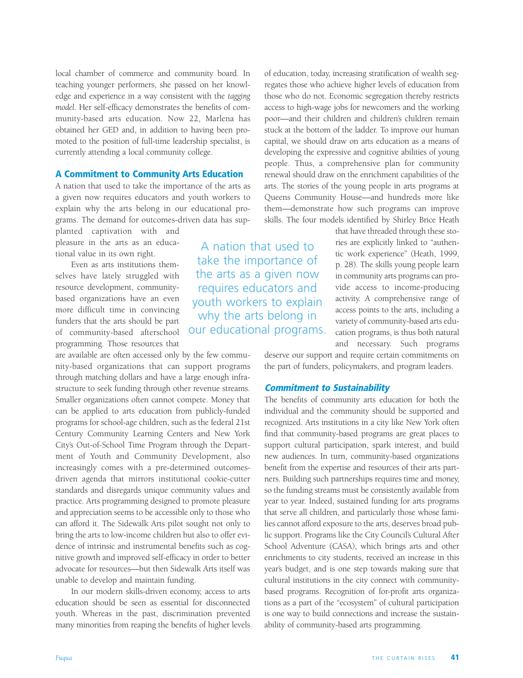local chamber of commerce and community board. In teaching younger performers, she passed on her knowledge and experience in a way consistent with the *tagging model*. Her self-efficacy demonstrates the benefits of community-based arts education. Now 22, Marlena has obtained her GED and, in addition to having been promoted to the position of full-time leadership specialist, is currently attending a local community college.

#### **A Commitment to Community Arts Education**

A nation that used to take the importance of the arts as a given now requires educators and youth workers to explain why the arts belong in our educational programs. The demand for outcomes-driven data has sup-

planted captivation with and pleasure in the arts as an educational value in its own right.

Even as arts institutions themselves have lately struggled with resource development, communitybased organizations have an even more difficult time in convincing funders that the arts should be part of community-based afterschool programming. Those resources that

are available are often accessed only by the few community-based organizations that can support programs through matching dollars and have a large enough infrastructure to seek funding through other revenue streams. Smaller organizations often cannot compete. Money that can be applied to arts education from publicly-funded programs for school-age children, such as the federal 21st Century Community Learning Centers and New York City's Out-of-School Time Program through the Department of Youth and Community Development, also increasingly comes with a pre-determined outcomesdriven agenda that mirrors institutional cookie-cutter standards and disregards unique community values and practice. Arts programming designed to promote pleasure and appreciation seems to be accessible only to those who can afford it. The Sidewalk Arts pilot sought not only to bring the arts to low-income children but also to offer evidence of intrinsic and instrumental benefits such as cognitive growth and improved self-efficacy in order to better advocate for resources—but then Sidewalk Arts itself was unable to develop and maintain funding.

In our modern skills-driven economy, access to arts education should be seen as essential for disconnected youth. Whereas in the past, discrimination prevented many minorities from reaping the benefits of higher levels

A nation that used to take the importance of the arts as a given now requires educators and youth workers to explain why the arts belong in our educational programs.

of education, today, increasing stratification of wealth segregates those who achieve higher levels of education from those who do not. Economic segregation thereby restricts access to high-wage jobs for newcomers and the working poor—and their children and children's children remain stuck at the bottom of the ladder. To improve our human capital, we should draw on arts education as a means of developing the expressive and cognitive abilities of young people. Thus, a comprehensive plan for community renewal should draw on the enrichment capabilities of the arts. The stories of the young people in arts programs at Queens Community House—and hundreds more like them—demonstrate how such programs can improve skills. The four models identified by Shirley Brice Heath

that have threaded through these stories are explicitly linked to "authentic work experience" (Heath, 1999, p. 28). The skills young people learn in community arts programs can provide access to income-producing activity. A comprehensive range of access points to the arts, including a variety of community-based arts education programs, is thus both natural and necessary. Such programs

deserve our support and require certain commitments on the part of funders, policymakers, and program leaders.

#### **Commitment to Sustainability**

The benefits of community arts education for both the individual and the community should be supported and recognized. Arts institutions in a city like New York often find that community-based programs are great places to support cultural participation, spark interest, and build new audiences. In turn, community-based organizations benefit from the expertise and resources of their arts partners. Building such partnerships requires time and money, so the funding streams must be consistently available from year to year. Indeed, sustained funding for arts programs that serve all children, and particularly those whose families cannot afford exposure to the arts, deserves broad public support. Programs like the City Council's Cultural After School Adventure (CASA), which brings arts and other enrichments to city students, received an increase in this year's budget, and is one step towards making sure that cultural institutions in the city connect with communitybased programs. Recognition of for-profit arts organizations as a part of the "ecosystem" of cultural participation is one way to build connections and increase the sustainability of community-based arts programming.